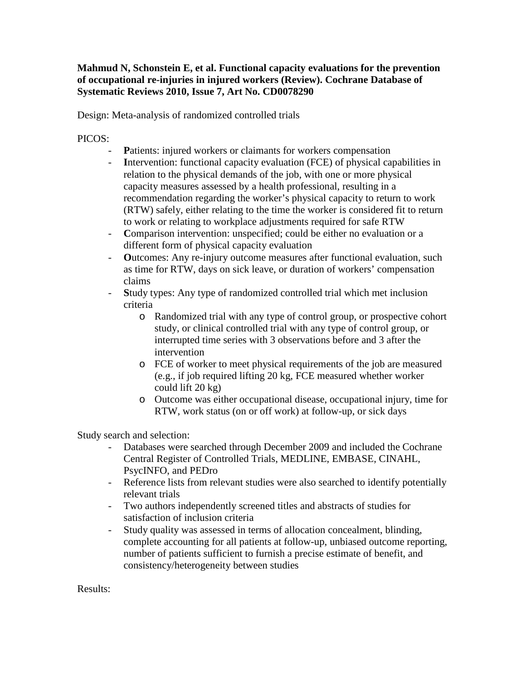## **Mahmud N, Schonstein E, et al. Functional capacity evaluations for the prevention of occupational re-injuries in injured workers (Review). Cochrane Database of Systematic Reviews 2010, Issue 7, Art No. CD0078290**

Design: Meta-analysis of randomized controlled trials

PICOS:

- **P**atients: injured workers or claimants for workers compensation
- **I**ntervention: functional capacity evaluation (FCE) of physical capabilities in relation to the physical demands of the job, with one or more physical capacity measures assessed by a health professional, resulting in a recommendation regarding the worker's physical capacity to return to work (RTW) safely, either relating to the time the worker is considered fit to return to work or relating to workplace adjustments required for safe RTW
- **C**omparison intervention: unspecified; could be either no evaluation or a different form of physical capacity evaluation
- **O**utcomes: Any re-injury outcome measures after functional evaluation, such as time for RTW, days on sick leave, or duration of workers' compensation claims
- **S**tudy types: Any type of randomized controlled trial which met inclusion criteria
	- o Randomized trial with any type of control group, or prospective cohort study, or clinical controlled trial with any type of control group, or interrupted time series with 3 observations before and 3 after the intervention
	- o FCE of worker to meet physical requirements of the job are measured (e.g., if job required lifting 20 kg, FCE measured whether worker could lift 20 kg)
	- o Outcome was either occupational disease, occupational injury, time for RTW, work status (on or off work) at follow-up, or sick days

Study search and selection:

- Databases were searched through December 2009 and included the Cochrane Central Register of Controlled Trials, MEDLINE, EMBASE, CINAHL, PsycINFO, and PEDro
- Reference lists from relevant studies were also searched to identify potentially relevant trials
- Two authors independently screened titles and abstracts of studies for satisfaction of inclusion criteria
- Study quality was assessed in terms of allocation concealment, blinding, complete accounting for all patients at follow-up, unbiased outcome reporting, number of patients sufficient to furnish a precise estimate of benefit, and consistency/heterogeneity between studies

Results: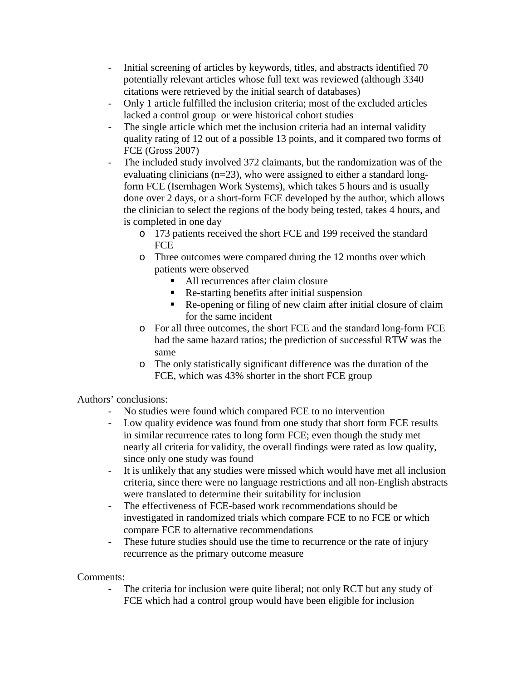- Initial screening of articles by keywords, titles, and abstracts identified 70 potentially relevant articles whose full text was reviewed (although 3340 citations were retrieved by the initial search of databases)
- Only 1 article fulfilled the inclusion criteria; most of the excluded articles lacked a control group or were historical cohort studies
- The single article which met the inclusion criteria had an internal validity quality rating of 12 out of a possible 13 points, and it compared two forms of FCE (Gross 2007)
- The included study involved 372 claimants, but the randomization was of the evaluating clinicians (n=23), who were assigned to either a standard longform FCE (Isernhagen Work Systems), which takes 5 hours and is usually done over 2 days, or a short-form FCE developed by the author, which allows the clinician to select the regions of the body being tested, takes 4 hours, and is completed in one day
	- o 173 patients received the short FCE and 199 received the standard **FCE**
	- o Three outcomes were compared during the 12 months over which patients were observed
		- All recurrences after claim closure
		- Re-starting benefits after initial suspension
		- Re-opening or filing of new claim after initial closure of claim for the same incident
	- o For all three outcomes, the short FCE and the standard long-form FCE had the same hazard ratios; the prediction of successful RTW was the same
	- o The only statistically significant difference was the duration of the FCE, which was 43% shorter in the short FCE group

Authors' conclusions:

- No studies were found which compared FCE to no intervention
- Low quality evidence was found from one study that short form FCE results in similar recurrence rates to long form FCE; even though the study met nearly all criteria for validity, the overall findings were rated as low quality, since only one study was found
- It is unlikely that any studies were missed which would have met all inclusion criteria, since there were no language restrictions and all non-English abstracts were translated to determine their suitability for inclusion
- The effectiveness of FCE-based work recommendations should be investigated in randomized trials which compare FCE to no FCE or which compare FCE to alternative recommendations
- These future studies should use the time to recurrence or the rate of injury recurrence as the primary outcome measure

Comments:

The criteria for inclusion were quite liberal; not only RCT but any study of FCE which had a control group would have been eligible for inclusion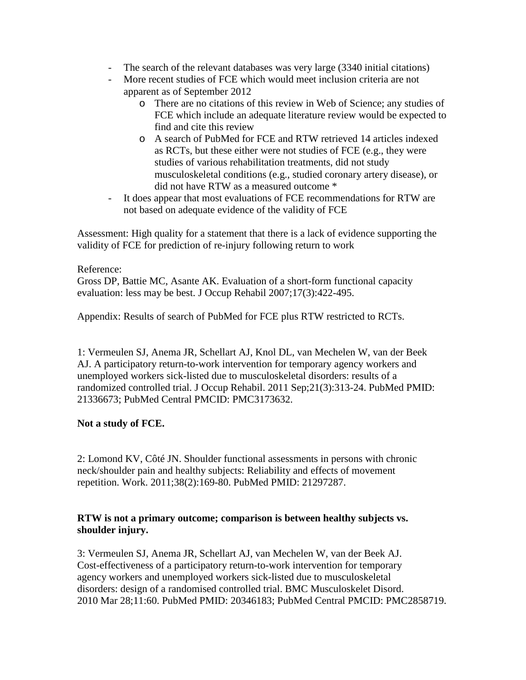- The search of the relevant databases was very large (3340 initial citations)
- More recent studies of FCE which would meet inclusion criteria are not apparent as of September 2012
	- o There are no citations of this review in Web of Science; any studies of FCE which include an adequate literature review would be expected to find and cite this review
	- o A search of PubMed for FCE and RTW retrieved 14 articles indexed as RCTs, but these either were not studies of FCE (e.g., they were studies of various rehabilitation treatments, did not study musculoskeletal conditions (e.g., studied coronary artery disease), or did not have RTW as a measured outcome \*
- It does appear that most evaluations of FCE recommendations for RTW are not based on adequate evidence of the validity of FCE

Assessment: High quality for a statement that there is a lack of evidence supporting the validity of FCE for prediction of re-injury following return to work

### Reference:

Gross DP, Battie MC, Asante AK. Evaluation of a short-form functional capacity evaluation: less may be best. J Occup Rehabil 2007;17(3):422-495.

Appendix: Results of search of PubMed for FCE plus RTW restricted to RCTs.

1: Vermeulen SJ, Anema JR, Schellart AJ, Knol DL, van Mechelen W, van der Beek AJ. A participatory return-to-work intervention for temporary agency workers and unemployed workers sick-listed due to musculoskeletal disorders: results of a randomized controlled trial. J Occup Rehabil. 2011 Sep;21(3):313-24. PubMed PMID: 21336673; PubMed Central PMCID: PMC3173632.

## **Not a study of FCE.**

2: Lomond KV, Côté JN. Shoulder functional assessments in persons with chronic neck/shoulder pain and healthy subjects: Reliability and effects of movement repetition. Work. 2011;38(2):169-80. PubMed PMID: 21297287.

#### **RTW is not a primary outcome; comparison is between healthy subjects vs. shoulder injury.**

3: Vermeulen SJ, Anema JR, Schellart AJ, van Mechelen W, van der Beek AJ. Cost-effectiveness of a participatory return-to-work intervention for temporary agency workers and unemployed workers sick-listed due to musculoskeletal disorders: design of a randomised controlled trial. BMC Musculoskelet Disord. 2010 Mar 28;11:60. PubMed PMID: 20346183; PubMed Central PMCID: PMC2858719.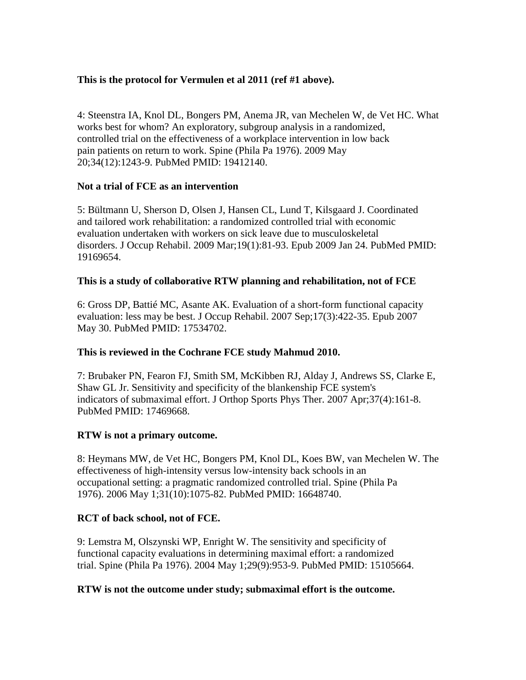# **This is the protocol for Vermulen et al 2011 (ref #1 above).**

4: Steenstra IA, Knol DL, Bongers PM, Anema JR, van Mechelen W, de Vet HC. What works best for whom? An exploratory, subgroup analysis in a randomized, controlled trial on the effectiveness of a workplace intervention in low back pain patients on return to work. Spine (Phila Pa 1976). 2009 May 20;34(12):1243-9. PubMed PMID: 19412140.

### **Not a trial of FCE as an intervention**

5: Bültmann U, Sherson D, Olsen J, Hansen CL, Lund T, Kilsgaard J. Coordinated and tailored work rehabilitation: a randomized controlled trial with economic evaluation undertaken with workers on sick leave due to musculoskeletal disorders. J Occup Rehabil. 2009 Mar;19(1):81-93. Epub 2009 Jan 24. PubMed PMID: 19169654.

### **This is a study of collaborative RTW planning and rehabilitation, not of FCE**

6: Gross DP, Battié MC, Asante AK. Evaluation of a short-form functional capacity evaluation: less may be best. J Occup Rehabil. 2007 Sep;17(3):422-35. Epub 2007 May 30. PubMed PMID: 17534702.

## **This is reviewed in the Cochrane FCE study Mahmud 2010.**

7: Brubaker PN, Fearon FJ, Smith SM, McKibben RJ, Alday J, Andrews SS, Clarke E, Shaw GL Jr. Sensitivity and specificity of the blankenship FCE system's indicators of submaximal effort. J Orthop Sports Phys Ther. 2007 Apr;37(4):161-8. PubMed PMID: 17469668.

#### **RTW is not a primary outcome.**

8: Heymans MW, de Vet HC, Bongers PM, Knol DL, Koes BW, van Mechelen W. The effectiveness of high-intensity versus low-intensity back schools in an occupational setting: a pragmatic randomized controlled trial. Spine (Phila Pa 1976). 2006 May 1;31(10):1075-82. PubMed PMID: 16648740.

#### **RCT of back school, not of FCE.**

9: Lemstra M, Olszynski WP, Enright W. The sensitivity and specificity of functional capacity evaluations in determining maximal effort: a randomized trial. Spine (Phila Pa 1976). 2004 May 1;29(9):953-9. PubMed PMID: 15105664.

#### **RTW is not the outcome under study; submaximal effort is the outcome.**